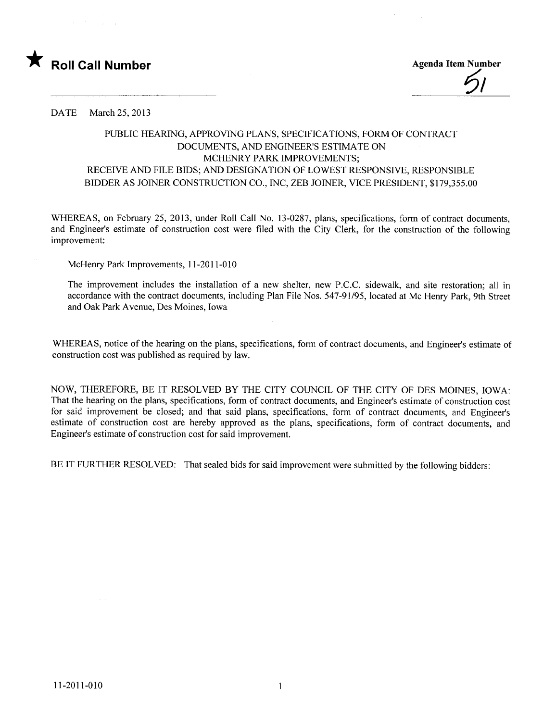

<u>ול</u>

DATE March 25, 2013

## PUBLIC HEARING, APPROVING PLANS, SPECIFICATIONS, FORM OF CONTRACT DOCUMENTS, AND ENGINEER'S ESTIMATE ON MCHENRY PARK IMPROVEMENTS; RECEIVE AND FILE BIDS; AND DESIGNATION OF LOWEST RESPONSIVE, RESPONSIBLE BIDDER AS JOINER CONSTRUCTION CO., INC, ZEB JOINER, VICE PRESIDENT, \$179,355.00

WHEREAS, on February 25, 2013, under Roll Call No. 13-0287, plans, specifications, form of contract documents, and Engineer's estimate of construction cost were fied with the City Clerk, for the construction of the following improvement:

McHenry Park Improvements, 11-2011-010

The improvement includes the installation of a new shelter, new P.C.C. sidewalk, and site restoration; all in accordance with the contract documents, including Plan File Nos. 547-91/95, located at Mc Henry Park, 9th Street and Oak Park A venue, Des Moines, Iowa

WHEREAS, notice of the hearing on the plans, specifications, form of contract documents, and Engineer's estimate of construction cost was published as required by law.

NOW, THEREFORE, BE IT RESOLVED BY THE CITY COUNCIL OF THE CITY OF DES MOINS, IOWA: That the hearing on the plans, specifications, form of contract documents, and Engineer's estimate of construction cost for said improvement be closed; and that said plans, specifications, form of contract documents, and Engineer's estimate of construction cost are hereby approved as the plans, specifications, form of contract documents, and Engineer's estimate of construction cost for said improvement.

BE IT FURTHER RESOLVED: That sealed bids for said improvement were submitted by the following bidders: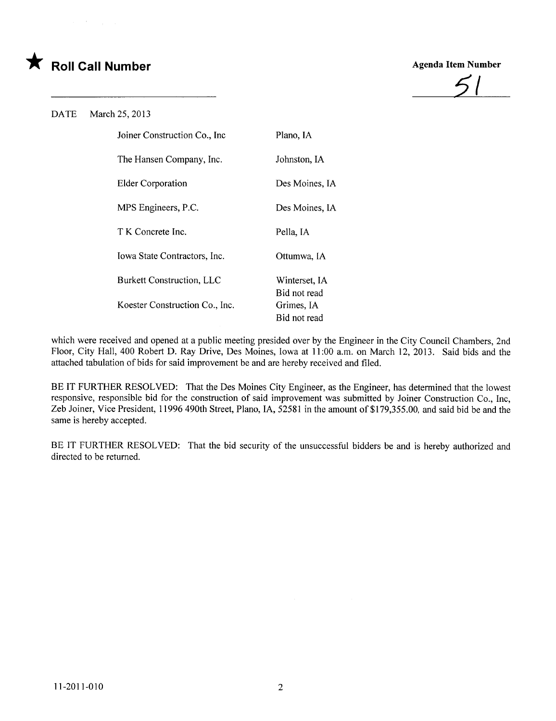# \* Roll Call Number Agenda Item Number



### DATE March 25, 2013

| Joiner Construction Co., Inc.  | Plano, IA                  |
|--------------------------------|----------------------------|
| The Hansen Company, Inc.       | Johnston, IA               |
| <b>Elder Corporation</b>       | Des Moines, IA             |
| MPS Engineers, P.C.            | Des Moines, IA             |
| T K Concrete Inc.              | Pella, IA                  |
| Iowa State Contractors, Inc.   | Ottumwa, IA                |
| Burkett Construction, LLC      | Winterset, IA              |
| Koester Construction Co., Inc. | Bid not read<br>Grimes, IA |
|                                | Bid not read               |

which were received and opened at a public meeting presided over by the Engineer in the City Council Chambers, 2nd Floor, City Hall, 400 Robert D. Ray Drive, Des Moines, Iowa at 11 :00 a.m. on March 12, 2013. Said bids and the attached tabulation of bids for said improvement be and are hereby received and fied.

BE IT FURTHER RESOLVED: That the Des Moines City Engineer, as the Engineer, has determined that the lowest responsive, responsible bid for the construction of said improvement was submitted by Joiner Construction Co., Inc, Zeb Joiner, Vice President, 11996 490th Street, Plano, lA, 52581 in the amount of \$179,355.00, and said bid be and the same is hereby accepted.

BE IT FURTHER RESOLVED: That the bid security of the unsuccessful bidders be and is hereby authorized and directed to be returned.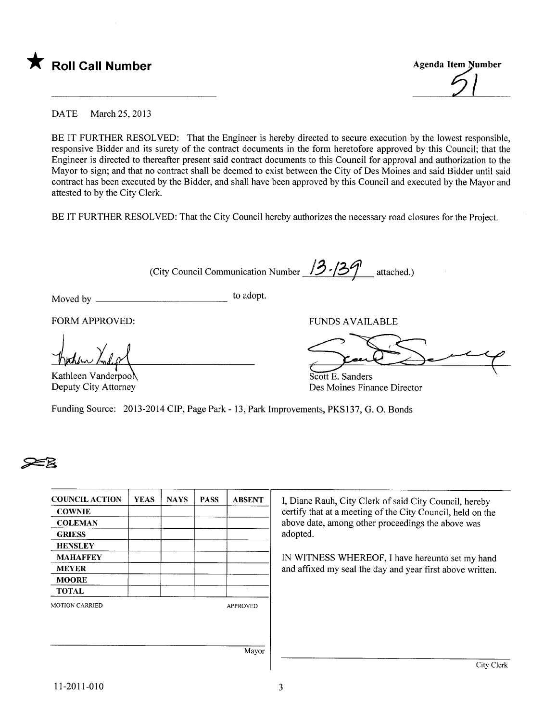

DATE March 25, 2013

BE IT FURTHER RESOLVED: That the Engineer is hereby directed to secure execution by the lowest responsible, responsive Bidder and its surety of the contract documents in the form heretofore approved by this Council; that the Engineer is directed to thereafter present said contract documents to this Council for approval and authorization to the Mayor to sign; and that no contract shall be deemed to exist between the City of Des Moines and said Bidder until said contract has been executed by the Bidder, and shall have been approved by this Council and executed by the Mayor and attested to by the City Clerk.

BE IT FURTHER RESOLVED: That the City Council hereby authorizes the necessary road closures for the Project.

(City Council Communication Number  $\frac{13.139}{1}$  attached.)

Moved by to adopt.

FORM APPROVED: FUNDS AVAILABLE

Kochen Kolge

Scott E. Sanders

Scott E. Sanders Des Moines Finance Director

Kathleen VanderpoÄ Deputy City Attorney

Funding Source: 2013-2014 CIP, Page Park - 13, Park Improvements, PKS137, G. O. Bonds

# **25**

| <b>COUNCIL ACTION</b> | <b>YEAS</b> | <b>NAYS</b> | <b>PASS</b> | <b>ABSENT</b>   | I, Diane Rauh, City Clerk of said City Council, hereby     |
|-----------------------|-------------|-------------|-------------|-----------------|------------------------------------------------------------|
| <b>COWNIE</b>         |             |             |             |                 | certify that at a meeting of the City Council, held on the |
| <b>COLEMAN</b>        |             |             |             |                 | above date, among other proceedings the above was          |
| <b>GRIESS</b>         |             |             |             |                 | adopted.                                                   |
| <b>HENSLEY</b>        |             |             |             |                 |                                                            |
| <b>MAHAFFEY</b>       |             |             |             |                 | IN WITNESS WHEREOF, I have hereunto set my hand            |
| <b>MEYER</b>          |             |             |             |                 | and affixed my seal the day and year first above written.  |
| <b>MOORE</b>          |             |             |             |                 |                                                            |
| <b>TOTAL</b>          |             |             |             |                 |                                                            |
| <b>MOTION CARRIED</b> |             |             |             | <b>APPROVED</b> |                                                            |
|                       |             |             |             |                 |                                                            |
|                       |             |             |             |                 |                                                            |
|                       |             |             |             | Mayor           |                                                            |

City Clerk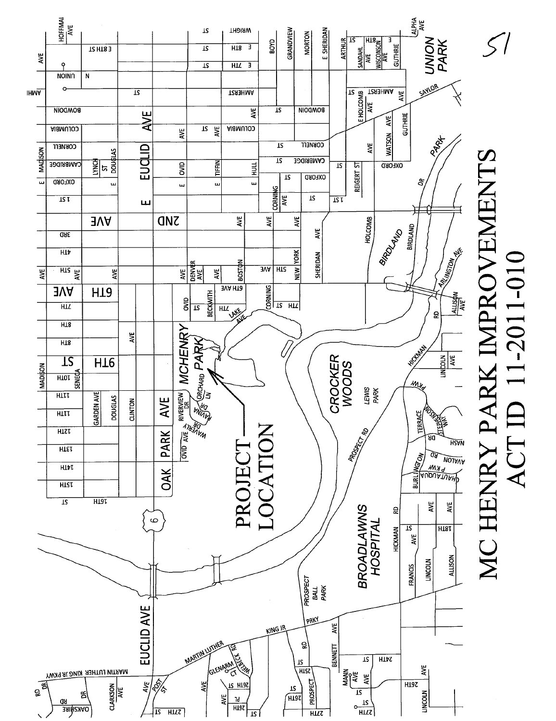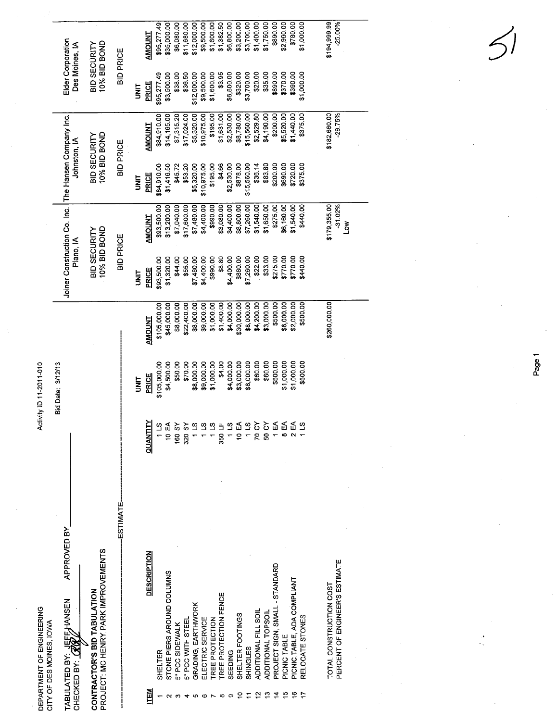|                                                       | Elder Corporation<br>Des Moines, IA                                       | 10% BID BOND<br>BID SECURITY                                       | <b>BID PRICE</b> |             | <b>AMOUNT</b>      | \$95,277.49  | \$35,000.00                | \$6,080.00      | \$11,680.00       | \$12,000.00        | \$9,500.00       | \$1,600.00      | \$1,382.50            | \$6,800.00 | \$3,200.00       | \$3,700.00  | \$1,400.00           | \$1,750.00         | \$890.00                       | \$2,960.00   | \$780.00                    | \$1,000.00      | \$194,999.99<br>$-25.00\%$                                |            |            |          |  |
|-------------------------------------------------------|---------------------------------------------------------------------------|--------------------------------------------------------------------|------------------|-------------|--------------------|--------------|----------------------------|-----------------|-------------------|--------------------|------------------|-----------------|-----------------------|------------|------------------|-------------|----------------------|--------------------|--------------------------------|--------------|-----------------------------|-----------------|-----------------------------------------------------------|------------|------------|----------|--|
|                                                       |                                                                           |                                                                    |                  | <b>SINT</b> | PRICE              | \$95,277.49  | \$3,500.00                 | \$38.00         | \$36.50           | \$12,000.00        | \$9,500.00       | \$1,600.00      | \$3.95                | \$6,800.00 | \$320.00         | \$3,700.00  | \$20.00              | \$35.00            | \$890.00                       | \$370.00     | \$390.00                    | \$1,000.00      |                                                           |            |            |          |  |
|                                                       |                                                                           |                                                                    | <b>BID PRICE</b> |             | <b>AMOUNT</b>      | \$84,910.00  | \$14,165.00                | \$7,315.20      | \$17,024.00       | \$5,320.00         | \$10,975.00      | \$195.00        | \$1,631.00            | \$2,530.00 | \$8,780.00       | \$15,560.00 | \$2,529.80           | \$4,190.00         | \$200.00                       | \$5,520.00   | \$1,440.00                  | \$375.00        | \$182,660.00<br>$-29.75%$                                 |            |            |          |  |
|                                                       | The Hansen Company Inc.<br>Johnston, IA                                   | 10% BID BOND<br>BID SECURITY                                       |                  | <b>TINU</b> | <b>PRICE</b>       | \$84,910.00  | \$1,416.50                 | \$45.72         | \$53.20           | \$5,320.00         | \$10,975.00      | \$195.00        | \$4.66                | \$2,530.00 | \$878.00         | \$15,560.00 | \$36.14              | \$83.80            | \$200.00                       | \$690.00     | \$720.00                    | \$375.00        |                                                           |            |            |          |  |
|                                                       |                                                                           |                                                                    |                  |             | <b>TIAUONA</b>     | \$93,500.00  | \$13,200.00                | \$7,040.00      | \$17,600.00       | \$7,480.00         | \$4,400.00       | \$990.00        | \$3,080.00            | \$4,400.00 | \$8,800.00       | \$7,260.00  | \$1,540.00           | \$1,650.00         | \$275.00                       | \$6,160.00   | \$1,540.00                  | \$440.00        | \$179,355.00<br>$-31.02%$<br>Š                            |            |            |          |  |
|                                                       | Joiner Construction Co. Inc.<br>10% BID BOND<br>BID SECURITY<br>Plano, IA |                                                                    | <b>BID PRICE</b> | <b>S</b>    | PRICE              | \$93,500.00  | \$1,320.00                 | \$44.00         | \$55.00           | \$7,480.00         | \$4,400.00       | \$990.00        | \$8.80                | \$4,400.00 | \$880.00         | \$7,260.00  | \$22.00              | \$33.00            | \$275.00                       | \$770.00     | \$770.00                    | \$440.00        |                                                           |            |            |          |  |
|                                                       |                                                                           |                                                                    |                  |             | <b>AMOUNT</b>      | \$105,000.00 | \$45,000.00                | \$8,000.00      | \$22,400.00       | \$8,000.00         | \$9,000.00       | \$1,000.00      | \$1,400.00            | \$4,000.00 | \$30,000.00      | \$8,000.00  | \$4,200.00           | \$3,000.00         | \$500.00                       | \$8,000.00   | \$2,000.00                  | \$500.00        | \$260,000.00                                              |            |            |          |  |
| Activity ID 11-2011-010                               | Bid Date: 3/12/13                                                         |                                                                    |                  |             |                    |              |                            | <b>SINT</b>     | PRICE             | \$105,000.00       | \$4,500.00       | \$50.00         | \$70.00               | \$8,000.00 | \$9,000.00       | \$1,000.00  | \$4.00               | \$4,000.00         | \$3,000.00                     | \$8,000.00   | \$60.00                     | \$60.00         | \$500.00                                                  | \$1,000.00 | \$1,000.00 | \$500.00 |  |
|                                                       |                                                                           |                                                                    |                  |             | <b>QUANTIY</b>     | 11S          | 10 $EA$                    | <b>160 SY</b>   | 320 SY            | 1 LS               | 11S              | 11S             | 350 LF                | 1 LS       | 10 EA            | 11S         | 70 CY                | 50 CY              | ÷ ≈<br>=                       |              | 2E                          |                 |                                                           |            |            |          |  |
|                                                       | APPROVED BY                                                               |                                                                    | ESTIMATE-        |             |                    |              |                            |                 |                   |                    |                  |                 |                       |            |                  |             |                      |                    |                                |              |                             |                 |                                                           |            |            |          |  |
| DEPARTMENT OF ENGINEERING<br>CITY OF DES MOINES, IOWA | <b>NEEFJAANSEN</b>                                                        | PROJECT: MC HENRY PARK IMPROVEMENTS<br>CONTRACTOR'S BID TABULATION |                  |             | <b>DESCRIPTION</b> | SHELTER      | STONE PIERS AROUND COLUMNS | 5" PCC SIDEWALK | 5" PCC WITH STEEL | GRADING, EARTHWORK | ELECTRIC SERVICE | TREE PROTECTION | TREE PROTECTION FENCE | SEEDING    | SHELTER FOOTINGS | SHINGLES    | ADDITIONAL FILL SOIL | ADDITIONAL TOPSOIL | PROJECT SIGN, SMALL - STANDARD | PICNIC TABLE | PICNIC TABLE, ADA COMPLIANT | RELOCATE STONES | PERCENT OF ENGINEER'S ESTIMATE<br>TOTAL CONSTRUCTION COST |            |            |          |  |
|                                                       | CHECKED BY: $G$<br>TABULATED BY:                                          |                                                                    |                  |             | <b>TEM</b>         |              |                            |                 |                   | Ю                  | ω                |                 | $\infty$              | တ          |                  |             |                      |                    |                                |              |                             |                 |                                                           |            |            |          |  |

Page 1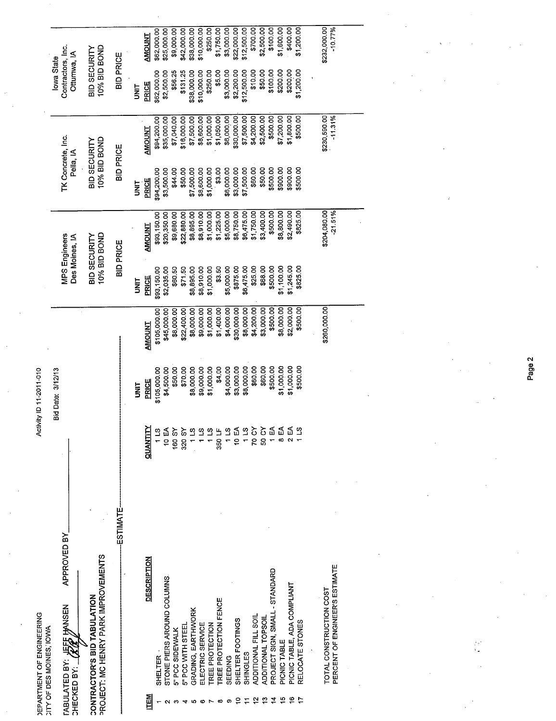| <b>JEPARTMENT OF ENGINEERING</b><br><b>CITY OF DES MOINES, IOWA</b>             |               | <b>Activity ID 11-2011-010</b> |               |                                     |               |                                |               |                                  |              |
|---------------------------------------------------------------------------------|---------------|--------------------------------|---------------|-------------------------------------|---------------|--------------------------------|---------------|----------------------------------|--------------|
|                                                                                 |               | Bid Date: 3/12/13              |               |                                     |               |                                |               | <b>lowa State</b>                |              |
| APPROVED BY<br><b>JEFF HANSEN</b><br><b><i>TABULATED BY:</i></b><br>CHECKED BY: |               |                                | $\epsilon$    | MPS Engineers<br>Des Moines, IA     |               | TK Concrete, Inc.<br>Pella, IA |               | Contractors, Inc.<br>Ottumwa, IA |              |
| CONTRACTOR'S BID TABULATION<br>PROJECT: MC HENRY PARK IMPROVEMENTS              |               |                                |               | 10% BID BOND<br><b>BID SECURITY</b> |               | 10% BID BOND<br>BID SECURITY   |               | 10% BID BOND<br>BID SECURITY     |              |
| ESTIMATE                                                                        |               |                                |               | <b>BID PRICE</b>                    |               | <b>BID PRICE</b>               |               | BID PRICE                        |              |
|                                                                                 |               | <b>SINIT</b>                   |               | <b>TINU</b>                         |               | <b>TIXL</b>                    |               | <b>UNIT</b>                      |              |
| <b>DESCRIPTION</b><br><b>NEN</b>                                                | QUANTITY      | PRICE                          | <b>AMOUNT</b> | PRICE                               | <b>AMOUNT</b> | PRICE                          | <b>AMOUNT</b> | <b>PRICE</b>                     | AMOUNT       |
| SHELTER-                                                                        | 113           | \$105,000.00                   | \$105,000.00  | \$93,150.00                         | \$93,150.00   | \$94,200.00                    | \$94,200.00   | \$62,000.00                      | \$62,000.00  |
| STONE PIERS AROUND COLUMNS                                                      | 10 EA         | \$4,500.00                     | \$45,000.00   | \$2,035.00                          | \$20,350.00   | \$3,500.00                     | \$35,000.00   | \$2,500.00                       | \$25,000.00  |
| 5" PCC SIDEWALK                                                                 | <b>160 SY</b> | \$50.00                        | \$8,000.00    | \$60.50                             | \$9,680.00    | \$44.00                        | \$7,040.00    | \$56.25                          | \$9,000.00   |
| 5" PCC WITH STEEL                                                               | 320 SY        | \$70.00                        | \$22,400.00   | \$71.50                             | \$22,880.00   | \$50.00                        | \$16,000.00   | \$131.25                         | \$42,000.00  |
| GRADING, EARTHWORK<br>ю                                                         | 1 LS          | \$8,000.00                     | \$8,000.00    | \$8,895.00                          | \$8,895.00    | \$7,500.00                     | \$7,500.00    | \$38,000.00                      | \$38,000.00  |
| ELECTRIC SERVICE<br>Ø                                                           | $1\,$ LS      | \$9,000.00                     | \$9,000.00    | \$8,910.00                          | \$8,910.00    | \$8,600.00                     | \$8,600.00    | \$10,000.00                      | \$10,000.00  |
| TREE PROTECTION                                                                 | 11S           | \$1,000.00                     | \$1,000.00    | \$1,000.00                          | \$1,000.00    | \$1,000.00                     | \$1,000.00    | \$250.00                         | \$250.00     |
| TREE PROTECTION FENCE                                                           | 350 LF        | \$4.00                         | \$1,400.00    | \$3.50                              | \$1,225.00    | \$3.00                         | \$1,050.00    | \$5.00                           | \$1,750.00   |
| SEEDING<br>0                                                                    | 1 LS          | \$4,000.00                     | \$4,000.00    | \$5,000.00                          | \$5,000.00    | \$6,000.00                     | \$6,000.00    | \$3,000.00                       | \$3,000.00   |
| SHELTER FOOTINGS                                                                | 10 EA         | \$3,000.00                     | \$30,000.00   | \$875.00                            | \$8,750.00    | \$3,000.00                     | \$30,000.00   | \$2,200.00                       | \$22,000.00  |
| SHINGLES                                                                        | 113           | \$8,000.00                     | \$8,000.00    | \$6,475.00                          | \$6,475.00    | \$7,500.00                     | \$7,500.00    | \$12,500.00                      | \$12,500.00  |
| ADDITIONAL FILL SOIL                                                            | 70 CY         | \$60.00                        | \$4,200.00    | \$25.00                             | \$1,750.00    | \$60.00                        | \$4,200.00    | \$10.00                          | \$700.00     |
| ADDITIONAL TOPSOIL<br>ဗူ                                                        | 50 CY         | \$60.00                        | \$3,000.00    | \$68.00                             | \$3,400.00    | \$50.00                        | \$2,500.00    | \$50.00                          | \$2,500.00   |
| PROJECT SIGN, SMALL - STANDARD                                                  | 1 EA          | \$500.00                       | \$500.00      | \$500.00                            | \$500.00      | \$500,00                       | \$500.00      | \$100.00                         | \$100.00     |
| PICNIC TABLE                                                                    | 8 EA          | \$1,000.00                     | \$8,000.00    | \$1,100.00                          | \$8,800.00    | \$900.00                       | \$7,200.00    | \$200.00                         | \$1,600.00   |
| PICNIC TABLE, ADA COMPLIANT                                                     | 2 EA          | \$1,000.00                     | \$2,000.00    | \$1,245.00                          | \$2,490.00    | \$900.00                       | \$1,800.00    | \$200.00                         | \$400.00     |
| RELOCATE STONES                                                                 | $\frac{3}{1}$ | \$500.00                       | \$500.00      | \$825.00                            | \$825.00      | \$500.00                       | \$500.00      | \$1,200.00                       | \$1,200.00   |
|                                                                                 |               |                                |               |                                     |               |                                |               |                                  |              |
| TOTAL CONSTRUCTION COST                                                         |               |                                | \$260,000.00  |                                     | \$204,080.00  |                                | \$230,590.00  |                                  | \$232,000.00 |
| PERCENT OF ENGINEER'S ESTIMATE                                                  |               |                                |               |                                     | $-21.51%$     |                                | $-11.31%$     |                                  | $-10.77%$    |
|                                                                                 |               |                                |               |                                     |               |                                |               |                                  |              |
|                                                                                 |               |                                |               |                                     |               |                                |               |                                  |              |
|                                                                                 |               |                                |               |                                     |               |                                |               |                                  |              |
|                                                                                 |               |                                |               |                                     |               |                                |               |                                  |              |
|                                                                                 |               |                                |               |                                     |               |                                |               |                                  |              |
|                                                                                 |               |                                |               |                                     |               |                                |               |                                  |              |
|                                                                                 |               |                                |               |                                     |               |                                |               |                                  |              |

Page 2

 $\frac{1}{\sqrt{2}}\int_{0}^{\sqrt{2}}\frac{1}{\sqrt{2}}\left( \frac{1}{2}\right) ^{2}d\mu$ 

 $\label{eq:2.1} \begin{split} \mathcal{L}_{\text{max}}(\mathbf{X},\mathbf{X}) & = \mathcal{L}_{\text{max}}(\mathbf{X},\mathbf{X}) \\ & = \mathcal{L}_{\text{max}}(\mathbf{X},\mathbf{X}) + \mathcal{L}_{\text{max}}(\mathbf{X},\mathbf{X}) \\ & = \mathcal{L}_{\text{max}}(\mathbf{X},\mathbf{X}) + \mathcal{L}_{\text{max}}(\mathbf{X},\mathbf{X}) \\ & = \mathcal{L}_{\text{max}}(\mathbf{X},\mathbf{X}) + \mathcal{L}_{\text{max}}(\mathbf{X},\mathbf{X}) \\ & = \mathcal{L$ 

 $\frac{1}{\sqrt{2}}$ 

 $\label{eq:2} \frac{1}{\sqrt{2}}\sum_{i=1}^n\frac{1}{\sqrt{2}}\sum_{j=1}^n\frac{1}{j!}\sum_{j=1}^n\frac{1}{j!}\sum_{j=1}^n\frac{1}{j!}\sum_{j=1}^n\frac{1}{j!}\sum_{j=1}^n\frac{1}{j!}\sum_{j=1}^n\frac{1}{j!}\sum_{j=1}^n\frac{1}{j!}\sum_{j=1}^n\frac{1}{j!}\sum_{j=1}^n\frac{1}{j!}\sum_{j=1}^n\frac{1}{j!}\sum_{j=1}^n\frac{1}{j!}\sum_{j=1}^$ 

 $\frac{1}{2}S^2$ 

 $\label{eq:1} \frac{\mathbf{v}_{\text{max}}}{\mathbf{v}_{\text{max}}}\left(\mathbf{v}_{\text{max}}\right) = \frac{1}{\mathbf{v}_{\text{max}}}\left(\mathbf{v}_{\text{max}}\right)$